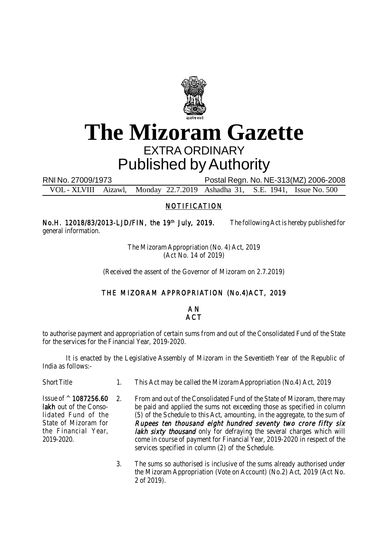

# **The Mizoram Gazette** EXTRA ORDINARY Published by Authority

RNI No. 27009/1973 Postal Regn. No. NE-313(MZ) 2006-2008

VOL - XLVIII Aizawl, Monday 22.7.2019 Ashadha 31, S.E. 1941, Issue No. 500

## **NOTIFICATION**

No.H. 12018/83/2013-LJD/FIN, the 19<sup>th</sup> July, 2019. The following Act is hereby published for general information.

> The Mizoram Appropriation (No. 4) Act, 2019 (Act No. 14 of 2019)

(Received the assent of the Governor of Mizoram on 2.7.2019)

## THE MIZORAM APPROPRIATION (No.4)ACT, 2019

A N **ACT** 

to authorise payment and appropriation of certain sums from and out of the Consolidated Fund of the State for the services for the Financial Year, 2019-2020.

It is enacted by the Legislative Assembly of Mizoram in the Seventieth Year of the Republic of India as follows:-

Short Title 1. This Act may be called the Mizoram Appropriation (No.4) Act, 2019

2. From and out of the Consolidated Fund of the State of Mizoram, there may be paid and applied the sums not exceeding those as specified in column (5) of the Schedule to this Act, amounting, in the aggregate, to the sum of Rupees ten thousand eight hundred seventy two crore fifty six lakh sixty thousand only for defraying the several charges which will come in course of payment for Financial Year, 2019-2020 in respect of the services specified in column (2) of the Schedule. Issue of ^ 1087256.60 lakh out of the Consolidated Fund of the State of Mizoram for the Financial Year, 2019-2020.

> 3. The sums so authorised is inclusive of the sums already authorised under the Mizoram Appropriation (Vote on Account) (No.2) Act, 2019 (Act No. 2 of 2019).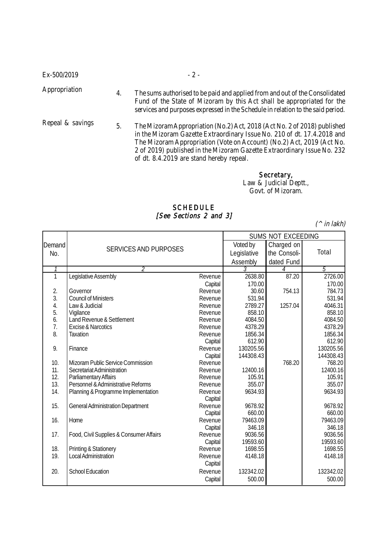| Ex-500/2019      |    | $-2-$                                                                                                                                                                                                                                                                                                                                               |
|------------------|----|-----------------------------------------------------------------------------------------------------------------------------------------------------------------------------------------------------------------------------------------------------------------------------------------------------------------------------------------------------|
| Appropriation    | 4. | The sums authorised to be paid and applied from and out of the Consolidated<br>Fund of the State of Mizoram by this Act shall be appropriated for the<br>services and purposes expressed in the Schedule in relation to the said period.                                                                                                            |
| Repeal & savings | 5. | The Mizoram Appropriation (No.2) Act, 2018 (Act No. 2 of 2018) published<br>in the Mizoram Gazette Extraordinary Issue No. 210 of dt. 17.4.2018 and<br>The Mizoram Appropriation (Vote on Account) (No.2) Act, 2019 (Act No.<br>2 of 2019) published in the Mizoram Gazette Extraordinary Issue No. 232<br>of dt. 8.4.2019 are stand hereby repeal. |

Secretary, Law & Judicial Deptt., Govt. of Mizoram.

### SCHEDULE [See Sections 2 and 3]

 $(^\wedge$  in lakh)

|        |                                          | SUMS NOT EXCEEDING |             |              |           |
|--------|------------------------------------------|--------------------|-------------|--------------|-----------|
| Demand |                                          | Voted by           | Charged on  |              |           |
| No.    | <b>SERVICES AND PURPOSES</b>             |                    | Legislative | the Consoli- | Total     |
|        |                                          |                    | Assembly    | dated Fund   |           |
|        | 2                                        |                    |             | 4            | 5         |
| 1      | Legislative Assembly                     | Revenue            | 2638.80     | 87.20        | 2726.00   |
|        |                                          | Capital            | 170.00      |              | 170.00    |
| 2.     | Governor                                 | Revenue            | 30.60       | 754.13       | 784.73    |
| 3.     | <b>Council of Ministers</b>              | Revenue            | 531.94      |              | 531.94    |
| 4.     | Law & Judicial                           | Revenue            | 2789.27     | 1257.04      | 4046.31   |
| 5.     | Vigilance                                | Revenue            | 858.10      |              | 858.10    |
| 6.     | Land Revenue & Settlement                | Revenue            | 4084.50     |              | 4084.50   |
| 7.     | <b>Excise &amp; Narcotics</b>            | Revenue            | 4378.29     |              | 4378.29   |
| 8.     | <b>Taxation</b>                          | Revenue            | 1856.34     |              | 1856.34   |
|        |                                          | Capital            | 612.90      |              | 612.90    |
| 9.     | Finance                                  | Revenue            | 130205.56   |              | 130205.56 |
|        |                                          | Capital            | 144308.43   |              | 144308.43 |
| 10.    | Mizoram Public Service Commission        | Revenue            |             | 768.20       | 768.20    |
| 11.    | Secretariat Administration               | Revenue            | 12400.16    |              | 12400.16  |
| 12.    | Parliamentary Affairs                    | Revenue            | 105.91      |              | 105.91    |
| 13.    | Personnel & Administrative Reforms       | Revenue            | 355.07      |              | 355.07    |
| 14.    | Planning & Programme Implementation      | Revenue            | 9634.93     |              | 9634.93   |
|        |                                          | Capital            |             |              |           |
| 15.    | <b>General Administration Department</b> | Revenue            | 9678.92     |              | 9678.92   |
|        |                                          | Capital            | 660.00      |              | 660.00    |
| 16.    | Home                                     | Revenue            | 79463.09    |              | 79463.09  |
|        |                                          | Capital            | 346.18      |              | 346.18    |
| 17.    | Food, Civil Supplies & Consumer Affairs  | Revenue            | 9036.56     |              | 9036.56   |
|        |                                          | Capital            | 19593.60    |              | 19593.60  |
| 18.    | Printing & Stationery                    | Revenue            | 1698.55     |              | 1698.55   |
| 19.    | Local Administration                     | Revenue            | 4148.18     |              | 4148.18   |
|        |                                          | Capital            |             |              |           |
| 20.    | <b>School Education</b>                  | Revenue            | 132342.02   |              | 132342.02 |
|        |                                          | Capital            | 500.00      |              | 500.00    |